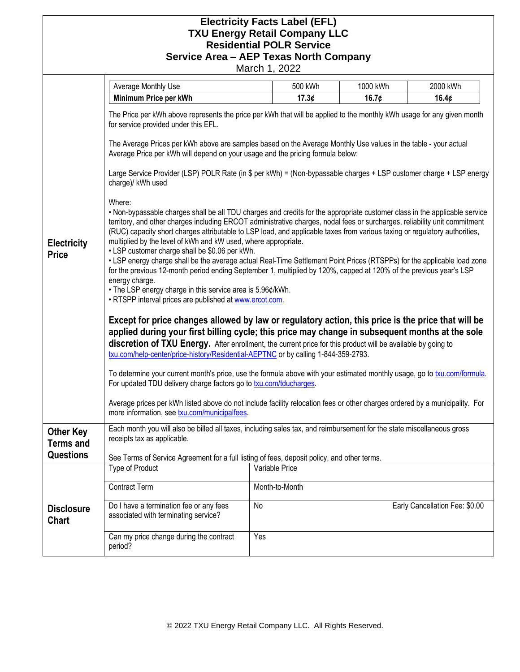## **Electricity Facts Label (EFL) TXU Energy Retail Company LLC Residential POLR Service Service Area – AEP Texas North Company**

March 1, 2022

|                                                          | Average Monthly Use                                                                                                                                                                                                                                  | 500 kWh                                                                                                                                                                                                                                                                                                                                                                                                                                                                                                                                                                                                                                                                                                                                                                                                                                                                                                                                                                                                                                                                                                                                                                                                                                                                                                                                                                                                                                                                                                                                                                                                                                                                                                                                                                                                                                                                                                                                                                                                                                 | 1000 kWh | 2000 kWh                       |  |
|----------------------------------------------------------|------------------------------------------------------------------------------------------------------------------------------------------------------------------------------------------------------------------------------------------------------|-----------------------------------------------------------------------------------------------------------------------------------------------------------------------------------------------------------------------------------------------------------------------------------------------------------------------------------------------------------------------------------------------------------------------------------------------------------------------------------------------------------------------------------------------------------------------------------------------------------------------------------------------------------------------------------------------------------------------------------------------------------------------------------------------------------------------------------------------------------------------------------------------------------------------------------------------------------------------------------------------------------------------------------------------------------------------------------------------------------------------------------------------------------------------------------------------------------------------------------------------------------------------------------------------------------------------------------------------------------------------------------------------------------------------------------------------------------------------------------------------------------------------------------------------------------------------------------------------------------------------------------------------------------------------------------------------------------------------------------------------------------------------------------------------------------------------------------------------------------------------------------------------------------------------------------------------------------------------------------------------------------------------------------------|----------|--------------------------------|--|
|                                                          | Minimum Price per kWh                                                                                                                                                                                                                                | 17.3¢                                                                                                                                                                                                                                                                                                                                                                                                                                                                                                                                                                                                                                                                                                                                                                                                                                                                                                                                                                                                                                                                                                                                                                                                                                                                                                                                                                                                                                                                                                                                                                                                                                                                                                                                                                                                                                                                                                                                                                                                                                   | 16.7¢    | 16.4¢                          |  |
| <b>Electricity</b><br><b>Price</b>                       | for service provided under this EFL.<br>charge)/ kWh used<br>Where:<br>• LSP customer charge shall be \$0.06 per kWh.<br>energy charge.<br>more information, see txu.com/municipalfees.                                                              | The Price per kWh above represents the price per kWh that will be applied to the monthly kWh usage for any given month<br>The Average Prices per kWh above are samples based on the Average Monthly Use values in the table - your actual<br>Average Price per kWh will depend on your usage and the pricing formula below:<br>Large Service Provider (LSP) POLR Rate (in \$ per kWh) = (Non-bypassable charges + LSP customer charge + LSP energy<br>. Non-bypassable charges shall be all TDU charges and credits for the appropriate customer class in the applicable service<br>territory, and other charges including ERCOT administrative charges, nodal fees or surcharges, reliability unit commitment<br>(RUC) capacity short charges attributable to LSP load, and applicable taxes from various taxing or regulatory authorities,<br>multiplied by the level of kWh and kW used, where appropriate.<br>• LSP energy charge shall be the average actual Real-Time Settlement Point Prices (RTSPPs) for the applicable load zone<br>for the previous 12-month period ending September 1, multiplied by 120%, capped at 120% of the previous year's LSP<br>• The LSP energy charge in this service area is 5.96¢/kWh.<br>· RTSPP interval prices are published at www.ercot.com.<br>Except for price changes allowed by law or regulatory action, this price is the price that will be<br>applied during your first billing cycle; this price may change in subsequent months at the sole<br>discretion of TXU Energy. After enrollment, the current price for this product will be available by going to<br>txu.com/help-center/price-history/Residential-AEPTNC or by calling 1-844-359-2793.<br>To determine your current month's price, use the formula above with your estimated monthly usage, go to txu.com/formula.<br>For updated TDU delivery charge factors go to txu.com/tducharges.<br>Average prices per kWh listed above do not include facility relocation fees or other charges ordered by a municipality. For |          |                                |  |
| <b>Other Key</b><br><b>Terms and</b><br><b>Questions</b> | Each month you will also be billed all taxes, including sales tax, and reimbursement for the state miscellaneous gross<br>receipts tax as applicable.<br>See Terms of Service Agreement for a full listing of fees, deposit policy, and other terms. |                                                                                                                                                                                                                                                                                                                                                                                                                                                                                                                                                                                                                                                                                                                                                                                                                                                                                                                                                                                                                                                                                                                                                                                                                                                                                                                                                                                                                                                                                                                                                                                                                                                                                                                                                                                                                                                                                                                                                                                                                                         |          |                                |  |
|                                                          | <b>Type of Product</b>                                                                                                                                                                                                                               | Variable Price                                                                                                                                                                                                                                                                                                                                                                                                                                                                                                                                                                                                                                                                                                                                                                                                                                                                                                                                                                                                                                                                                                                                                                                                                                                                                                                                                                                                                                                                                                                                                                                                                                                                                                                                                                                                                                                                                                                                                                                                                          |          |                                |  |
| <b>Disclosure</b><br><b>Chart</b>                        | <b>Contract Term</b>                                                                                                                                                                                                                                 | Month-to-Month                                                                                                                                                                                                                                                                                                                                                                                                                                                                                                                                                                                                                                                                                                                                                                                                                                                                                                                                                                                                                                                                                                                                                                                                                                                                                                                                                                                                                                                                                                                                                                                                                                                                                                                                                                                                                                                                                                                                                                                                                          |          |                                |  |
|                                                          | Do I have a termination fee or any fees<br>associated with terminating service?                                                                                                                                                                      | No                                                                                                                                                                                                                                                                                                                                                                                                                                                                                                                                                                                                                                                                                                                                                                                                                                                                                                                                                                                                                                                                                                                                                                                                                                                                                                                                                                                                                                                                                                                                                                                                                                                                                                                                                                                                                                                                                                                                                                                                                                      |          | Early Cancellation Fee: \$0.00 |  |
|                                                          | Can my price change during the contract<br>period?                                                                                                                                                                                                   | Yes                                                                                                                                                                                                                                                                                                                                                                                                                                                                                                                                                                                                                                                                                                                                                                                                                                                                                                                                                                                                                                                                                                                                                                                                                                                                                                                                                                                                                                                                                                                                                                                                                                                                                                                                                                                                                                                                                                                                                                                                                                     |          |                                |  |